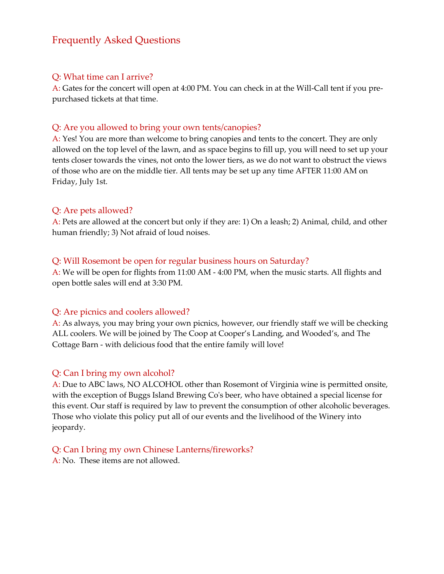# Frequently Asked Questions

### Q: What time can I arrive?

A: Gates for the concert will open at 4:00 PM. You can check in at the Will-Call tent if you prepurchased tickets at that time.

#### Q: Are you allowed to bring your own tents/canopies?

A: Yes! You are more than welcome to bring canopies and tents to the concert. They are only allowed on the top level of the lawn, and as space begins to fill up, you will need to set up your tents closer towards the vines, not onto the lower tiers, as we do not want to obstruct the views of those who are on the middle tier. All tents may be set up any time AFTER 11:00 AM on Friday, July 1st.

#### Q: Are pets allowed?

A: Pets are allowed at the concert but only if they are: 1) On a leash; 2) Animal, child, and other human friendly; 3) Not afraid of loud noises.

#### Q: Will Rosemont be open for regular business hours on Saturday?

A: We will be open for flights from 11:00 AM - 4:00 PM, when the music starts. All flights and open bottle sales will end at 3:30 PM.

#### Q: Are picnics and coolers allowed?

A: As always, you may bring your own picnics, however, our friendly staff we will be checking ALL coolers. We will be joined by The Coop at Cooper's Landing, and Wooded's, and The Cottage Barn - with delicious food that the entire family will love!

### Q: Can I bring my own alcohol?

A: Due to ABC laws, NO ALCOHOL other than Rosemont of Virginia wine is permitted onsite, with the exception of Buggs Island Brewing Co's beer, who have obtained a special license for this event. Our staff is required by law to prevent the consumption of other alcoholic beverages. Those who violate this policy put all of our events and the livelihood of the Winery into jeopardy.

Q: Can I bring my own Chinese Lanterns/fireworks?

A: No. These items are not allowed.